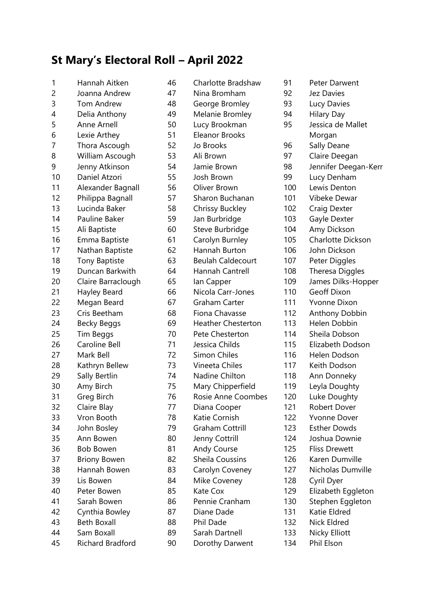## **St Mary's Electoral Roll – April 2022**

| $\mathbf{1}$ | Hannah Aitken        | 46 | Charlotte Bradshaw        | 91  | Peter Darwent          |
|--------------|----------------------|----|---------------------------|-----|------------------------|
| 2            | Joanna Andrew        | 47 | Nina Bromham              | 92  | Jez Davies             |
| 3            | Tom Andrew           | 48 | George Bromley            | 93  | Lucy Davies            |
| 4            | Delia Anthony        | 49 | Melanie Bromley           | 94  | <b>Hilary Day</b>      |
| 5            | Anne Arnell          | 50 | Lucy Brookman             | 95  | Jessica de Mallet      |
| 6            | Lexie Arthey         | 51 | <b>Eleanor Brooks</b>     |     | Morgan                 |
| 7            | Thora Ascough        | 52 | Jo Brooks                 | 96  | Sally Deane            |
| 8            | William Ascough      | 53 | Ali Brown                 | 97  | Claire Deegan          |
| 9            | Jenny Atkinson       | 54 | Jamie Brown               | 98  | Jennifer Deegan-Kerr   |
| 10           | Daniel Atzori        | 55 | Josh Brown                | 99  | Lucy Denham            |
| 11           | Alexander Bagnall    | 56 | Oliver Brown              | 100 | Lewis Denton           |
| 12           | Philippa Bagnall     | 57 | Sharon Buchanan           | 101 | Vibeke Dewar           |
| 13           | Lucinda Baker        | 58 | <b>Chrissy Buckley</b>    | 102 | Craig Dexter           |
| 14           | Pauline Baker        | 59 | Jan Burbridge             | 103 | Gayle Dexter           |
| 15           | Ali Baptiste         | 60 | Steve Burbridge           | 104 | Amy Dickson            |
| 16           | Emma Baptiste        | 61 | Carolyn Burnley           | 105 | Charlotte Dickson      |
| 17           | Nathan Baptiste      | 62 | Hannah Burton             | 106 | John Dickson           |
| 18           | <b>Tony Baptiste</b> | 63 | <b>Beulah Caldecourt</b>  | 107 | Peter Diggles          |
| 19           | Duncan Barkwith      | 64 | Hannah Cantrell           | 108 | <b>Theresa Diggles</b> |
| 20           | Claire Barraclough   | 65 | lan Capper                | 109 | James Dilks-Hopper     |
| 21           | Hayley Beard         | 66 | Nicola Carr-Jones         | 110 | Geoff Dixon            |
| 22           | Megan Beard          | 67 | Graham Carter             | 111 | Yvonne Dixon           |
| 23           | Cris Beetham         | 68 | Fiona Chavasse            | 112 | Anthony Dobbin         |
| 24           | <b>Becky Beggs</b>   | 69 | <b>Heather Chesterton</b> | 113 | Helen Dobbin           |
| 25           | <b>Tim Beggs</b>     | 70 | Pete Chesterton           | 114 | Sheila Dobson          |
| 26           | Caroline Bell        | 71 | Jessica Childs            | 115 | Elizabeth Dodson       |
| 27           | Mark Bell            | 72 | Simon Chiles              | 116 | Helen Dodson           |
| 28           | Kathryn Bellew       | 73 | Vineeta Chiles            | 117 | Keith Dodson           |
| 29           | Sally Bertlin        | 74 | Nadine Chilton            | 118 | Ann Donneky            |
| 30           | Amy Birch            | 75 | Mary Chipperfield         | 119 | Leyla Doughty          |
| 31           | Greg Birch           | 76 | Rosie Anne Coombes        | 120 | Luke Doughty           |
| 32           | Claire Blay          | 77 | Diana Cooper              | 121 | Robert Dover           |
| 33           | Vron Booth           | 78 | Katie Cornish             | 122 | <b>Yvonne Dover</b>    |
| 34           | John Bosley          | 79 | Graham Cottrill           | 123 | <b>Esther Dowds</b>    |
| 35           | Ann Bowen            | 80 | Jenny Cottrill            | 124 | Joshua Downie          |
| 36           | <b>Bob Bowen</b>     | 81 | Andy Course               | 125 | <b>Fliss Drewett</b>   |
| 37           | <b>Briony Bowen</b>  | 82 | Sheila Coussins           | 126 | Karen Dumville         |
| 38           | Hannah Bowen         | 83 | Carolyn Coveney           | 127 | Nicholas Dumville      |
| 39           | Lis Bowen            | 84 | Mike Coveney              | 128 | Cyril Dyer             |
| 40           | Peter Bowen          | 85 | Kate Cox                  | 129 | Elizabeth Eggleton     |
| 41           | Sarah Bowen          | 86 | Pennie Cranham            | 130 | Stephen Eggleton       |
| 42           | Cynthia Bowley       | 87 | Diane Dade                | 131 | Katie Eldred           |
| 43           | <b>Beth Boxall</b>   | 88 | Phil Dade                 | 132 | Nick Eldred            |
| 44           | Sam Boxall           | 89 | Sarah Dartnell            | 133 | Nicky Elliott          |
| 45           | Richard Bradford     | 90 | Dorothy Darwent           | 134 | Phil Elson             |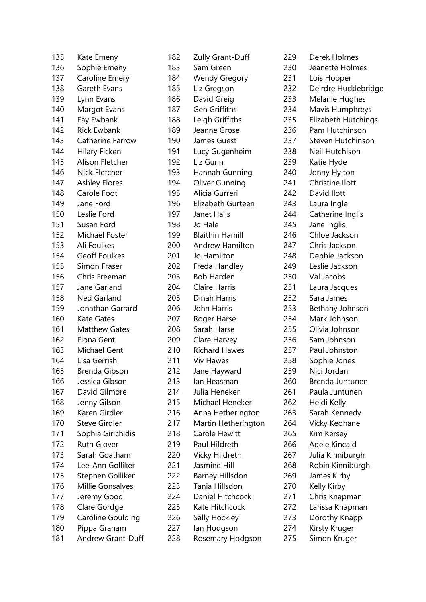| 135 | Kate Emeny           | 182 | <b>Zully Grant-Duff</b> | 229 | Dere         |
|-----|----------------------|-----|-------------------------|-----|--------------|
| 136 | Sophie Emeny         | 183 | Sam Green               | 230 | Jean         |
| 137 | Caroline Emery       | 184 | <b>Wendy Gregory</b>    | 231 | Lois         |
| 138 | Gareth Evans         | 185 | Liz Gregson             | 232 | Deiro        |
| 139 | Lynn Evans           | 186 | David Greig             | 233 | Mela         |
| 140 | Margot Evans         | 187 | Gen Griffiths           | 234 | Mavi         |
| 141 | Fay Ewbank           | 188 | Leigh Griffiths         | 235 | Eliza        |
| 142 | <b>Rick Ewbank</b>   | 189 | Jeanne Grose            | 236 | Pam          |
| 143 | Catherine Farrow     | 190 | James Guest             | 237 | Stev         |
| 144 | Hilary Ficken        | 191 | Lucy Gugenheim          | 238 | Neil         |
| 145 | Alison Fletcher      | 192 | Liz Gunn                | 239 | Katie        |
| 146 | Nick Fletcher        | 193 | Hannah Gunning          | 240 | Jonn         |
| 147 | <b>Ashley Flores</b> | 194 | <b>Oliver Gunning</b>   | 241 | Chris        |
| 148 | Carole Foot          | 195 | Alicia Gurreri          | 242 | Davi         |
| 149 | Jane Ford            | 196 | Elizabeth Gurteen       | 243 | Laura        |
| 150 | Leslie Ford          | 197 | Janet Hails             | 244 | Cath         |
| 151 | Susan Ford           | 198 | Jo Hale                 | 245 | Jane         |
| 152 | Michael Foster       | 199 | <b>Blaithin Hamill</b>  | 246 | Chlo         |
| 153 | Ali Foulkes          | 200 | <b>Andrew Hamilton</b>  | 247 | Chris        |
| 154 | <b>Geoff Foulkes</b> | 201 | Jo Hamilton             | 248 | Debl         |
| 155 | Simon Fraser         | 202 | Freda Handley           | 249 | Lesli        |
| 156 | Chris Freeman        | 203 | <b>Bob Harden</b>       | 250 | Val J        |
| 157 | Jane Garland         | 204 | Claire Harris           | 251 | Laura        |
| 158 | Ned Garland          | 205 | Dinah Harris            | 252 | Sara         |
| 159 | Jonathan Garrard     | 206 | John Harris             | 253 | <b>Beth</b>  |
| 160 | Kate Gates           | 207 | Roger Harse             | 254 | Mark         |
| 161 | <b>Matthew Gates</b> | 208 | Sarah Harse             | 255 | Olivi        |
| 162 | Fiona Gent           | 209 | Clare Harvey            | 256 | Sam          |
| 163 | Michael Gent         | 210 | <b>Richard Hawes</b>    | 257 | Paul         |
| 164 | Lisa Gerrish         | 211 | <b>Viv Hawes</b>        | 258 | Soph         |
| 165 | Brenda Gibson        | 212 | Jane Hayward            | 259 | Nici.        |
| 166 | Jessica Gibson       | 213 | lan Heasman             | 260 | <b>Bren</b>  |
| 167 | David Gilmore        | 214 | Julia Heneker           | 261 | Paula        |
| 168 | Jenny Gilson         | 215 | Michael Heneker         | 262 | Heid         |
| 169 | Karen Girdler        | 216 | Anna Hetherington       | 263 | Saral        |
| 170 | <b>Steve Girdler</b> | 217 | Martin Hetherington     | 264 | <b>Vicky</b> |
| 171 | Sophia Girichidis    | 218 | Carole Hewitt           | 265 | Kim          |
| 172 | <b>Ruth Glover</b>   | 219 | Paul Hildreth           | 266 | Adel         |
| 173 | Sarah Goatham        | 220 | Vicky Hildreth          | 267 | Julia        |
| 174 | Lee-Ann Golliker     | 221 | Jasmine Hill            | 268 | Robi         |
| 175 | Stephen Golliker     | 222 | <b>Barney Hillsdon</b>  | 269 | Jame         |
| 176 | Millie Gonsalves     | 223 | Tania Hillsdon          | 270 | Kelly        |
| 177 | Jeremy Good          | 224 | Daniel Hitchcock        | 271 | Chris        |
| 178 | Clare Gordge         | 225 | Kate Hitchcock          | 272 | Laris        |
| 179 | Caroline Goulding    | 226 | Sally Hockley           | 273 | Dorc         |
| 180 | Pippa Graham         | 227 | lan Hodgson             | 274 | Kirst        |
| 181 | Andrew Grant-Duff    | 228 | Rosemary Hodgson        | 275 | Simc         |

k Holmes ette Holmes Hooper dre Hucklebridge nie Hughes is Humphreys beth Hutchings **Hutchinson** en Hutchinson **Hutchison** e Hyde ny Hylton stine Ilott d Ilott a Ingle erine Inglis Inglis e Jackson s Jackson bie Jackson e Jackson acobs a Jacques **James** any Johnson k Johnson ia Johnson Johnson Johnston hie Jones Jordan da Juntunen a Juntunen li Kelly h Kennedy y Keohane Kersey e Kincaid Kinniburgh in Kinniburgh es Kirby Kirby s Knapman sa Knapman othy Knapp y Kruger on Kruger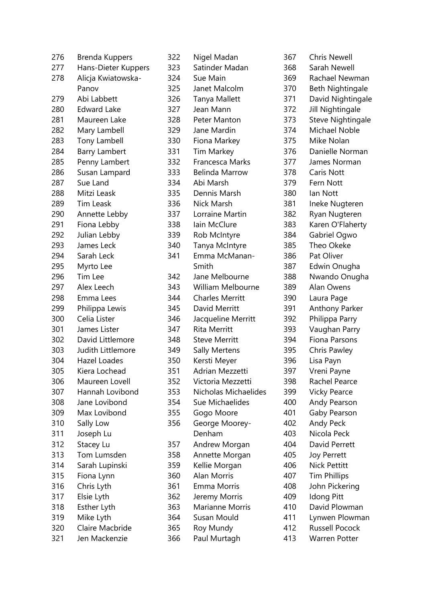| 276 | <b>Brenda Kuppers</b> | 322 | Nigel Madan              | 367 | <b>Chris Newell</b>     |
|-----|-----------------------|-----|--------------------------|-----|-------------------------|
| 277 | Hans-Dieter Kuppers   | 323 | Satinder Madan           | 368 | Sarah Newell            |
| 278 | Alicja Kwiatowska-    | 324 | Sue Main                 | 369 | Rachael Newman          |
|     | Panov                 | 325 | Janet Malcolm            | 370 | <b>Beth Nightingale</b> |
| 279 | Abi Labbett           | 326 | Tanya Mallett            | 371 | David Nightingale       |
| 280 | <b>Edward Lake</b>    | 327 | Jean Mann                | 372 | Jill Nightingale        |
| 281 | Maureen Lake          | 328 | Peter Manton             | 373 | Steve Nightingale       |
| 282 | Mary Lambell          | 329 | Jane Mardin              | 374 | Michael Noble           |
| 283 | Tony Lambell          | 330 | Fiona Markey             | 375 | Mike Nolan              |
| 284 | <b>Barry Lambert</b>  | 331 | <b>Tim Markey</b>        | 376 | Danielle Norman         |
| 285 | Penny Lambert         | 332 | Francesca Marks          | 377 | James Norman            |
| 286 | Susan Lampard         | 333 | <b>Belinda Marrow</b>    | 378 | Caris Nott              |
| 287 | Sue Land              | 334 | Abi Marsh                | 379 | Fern Nott               |
| 288 | Mitzi Leask           | 335 | Dennis Marsh             | 380 | lan Nott                |
| 289 | <b>Tim Leask</b>      | 336 | Nick Marsh               | 381 | Ineke Nugteren          |
| 290 | Annette Lebby         | 337 | Lorraine Martin          | 382 | Ryan Nugteren           |
| 291 | Fiona Lebby           | 338 | lain McClure             | 383 | Karen O'Flaherty        |
| 292 | Julian Lebby          | 339 | Rob McIntyre             | 384 | Gabriel Ogwo            |
| 293 | James Leck            | 340 | Tanya McIntyre           | 385 | Theo Okeke              |
| 294 | Sarah Leck            | 341 | Emma McManan-            | 386 | Pat Oliver              |
| 295 | Myrto Lee             |     | Smith                    | 387 | Edwin Onugha            |
| 296 | Tim Lee               | 342 | Jane Melbourne           | 388 | Nwando Onugha           |
| 297 | Alex Leech            | 343 | <b>William Melbourne</b> | 389 | Alan Owens              |
| 298 | Emma Lees             | 344 | <b>Charles Merritt</b>   | 390 | Laura Page              |
| 299 | Philippa Lewis        | 345 | David Merritt            | 391 | Anthony Parker          |
| 300 | Celia Lister          | 346 | Jacqueline Merritt       | 392 | Philippa Parry          |
| 301 | James Lister          | 347 | <b>Rita Merritt</b>      | 393 | Vaughan Parry           |
| 302 | David Littlemore      | 348 | <b>Steve Merritt</b>     | 394 | Fiona Parsons           |
| 303 | Judith Littlemore     | 349 | <b>Sally Mertens</b>     | 395 | Chris Pawley            |
| 304 | <b>Hazel Loades</b>   | 350 | Kersti Meyer             | 396 | Lisa Payn               |
| 305 | Kiera Lochead         | 351 | Adrian Mezzetti          | 397 | Vreni Payne             |
| 306 | Maureen Lovell        | 352 | Victoria Mezzetti        | 398 | Rachel Pearce           |
| 307 | Hannah Lovibond       | 353 | Nicholas Michaelides     | 399 | <b>Vicky Pearce</b>     |
| 308 | Jane Lovibond         | 354 | Sue Michaelides          | 400 | Andy Pearson            |
| 309 | Max Lovibond          | 355 | Gogo Moore               | 401 | Gaby Pearson            |
| 310 | Sally Low             | 356 | George Moorey-           | 402 | Andy Peck               |
| 311 | Joseph Lu             |     | Denham                   | 403 | Nicola Peck             |
| 312 | Stacey Lu             | 357 | Andrew Morgan            | 404 | David Perrett           |
| 313 | Tom Lumsden           | 358 | Annette Morgan           | 405 | <b>Joy Perrett</b>      |
| 314 | Sarah Lupinski        | 359 | Kellie Morgan            | 406 | <b>Nick Pettitt</b>     |
| 315 | Fiona Lynn            | 360 | Alan Morris              | 407 | <b>Tim Phillips</b>     |
| 316 | Chris Lyth            | 361 | Emma Morris              | 408 | John Pickering          |
| 317 | Elsie Lyth            | 362 | Jeremy Morris            | 409 | <b>Idong Pitt</b>       |
| 318 | Esther Lyth           | 363 | Marianne Morris          | 410 | David Plowman           |
| 319 | Mike Lyth             | 364 | Susan Mould              | 411 | Lynwen Plowman          |
| 320 | Claire Macbride       | 365 | Roy Mundy                | 412 | <b>Russell Pocock</b>   |
| 321 | Jen Mackenzie         | 366 | Paul Murtagh             | 413 | Warren Potter           |